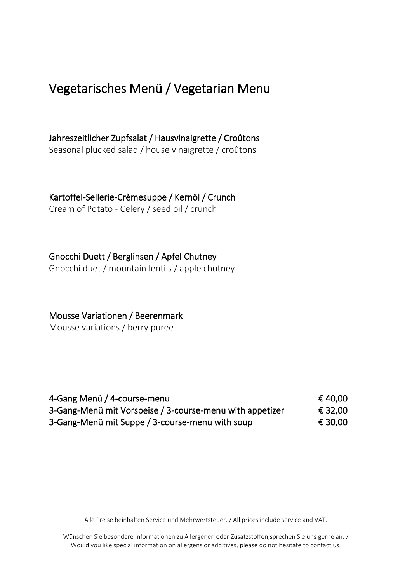## Vegetarisches Menü / Vegetarian Menu

Jahreszeitlicher Zupfsalat / Hausvinaigrette / Croûtons Seasonal plucked salad / house vinaigrette / croûtons

Kartoffel-Sellerie-Crèmesuppe / Kernöl / Crunch

Cream of Potato - Celery / seed oil / crunch

Gnocchi Duett / Berglinsen / Apfel Chutney

Gnocchi duet / mountain lentils / apple chutney

Mousse Variationen / Beerenmark

Mousse variations / berry puree

| 4-Gang Menü / 4-course-menu                              | € 40.00 |
|----------------------------------------------------------|---------|
| 3-Gang-Menü mit Vorspeise / 3-course-menu with appetizer | € 32.00 |
| 3-Gang-Menü mit Suppe / 3-course-menu with soup          | € 30.00 |

Alle Preise beinhalten Service und Mehrwertsteuer. / All prices include service and VAT.

Wünschen Sie besondere Informationen zu Allergenen oder Zusatzstoffen,sprechen Sie uns gerne an. / Would you like special information on allergens or additives, please do not hesitate to contact us.